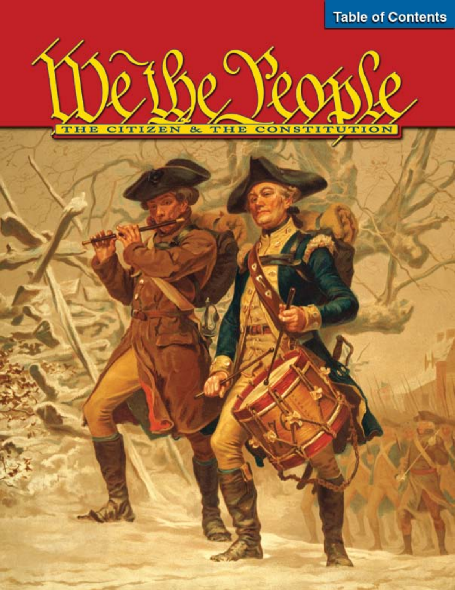**Table of Contents** 

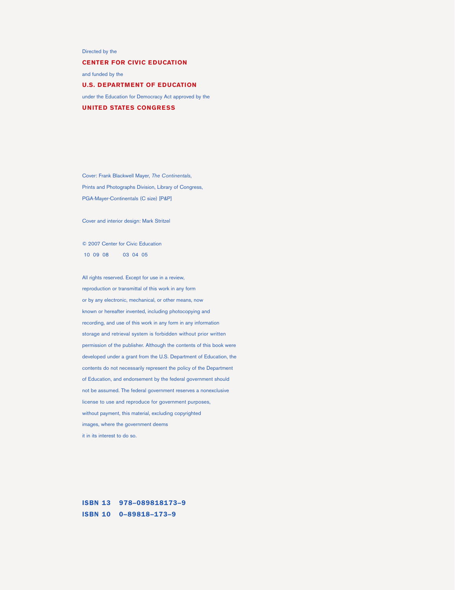Directed by the

**CENTER FOR CIVIC EDUCATION**

and funded by the

**U.S. DEPARTMENT OF EDUCATION** under the Education for Democracy Act approved by the **UNITED STATES CONGRESS**

Cover: Frank Blackwell Mayer, *The Continentals*, Prints and Photographs Division, Library of Congress, PGA-Mayer-Continentals (C size) [P&P]

Cover and interior design: Mark Stritzel

© 2007 Center for Civic Education 10 09 08 03 04 05

All rights reserved. Except for use in a review, reproduction or transmittal of this work in any form or by any electronic, mechanical, or other means, now known or hereafter invented, including photocopying and recording, and use of this work in any form in any information storage and retrieval system is forbidden without prior written permission of the publisher. Although the contents of this book were developed under a grant from the U.S. Department of Education, the contents do not necessarily represent the policy of the Department of Education, and endorsement by the federal government should not be assumed. The federal government reserves a nonexclusive license to use and reproduce for government purposes, without payment, this material, excluding copyrighted images, where the government deems it in its interest to do so.

ISBN 13 978–089818173–9 ISBN 10 0–89818–173–9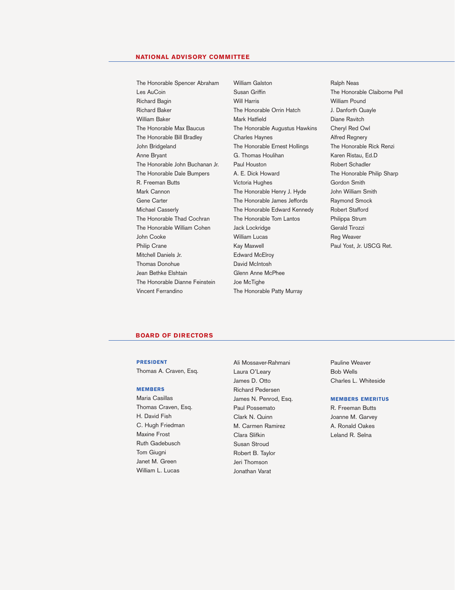### **NATIONAL ADVISORY COMMITTEE**

The Honorable Spencer Abraham Les AuCoin Richard Bagin Richard Baker William Baker The Honorable Max Baucus The Honorable Bill Bradley John Bridgeland Anne Bryant The Honorable John Buchanan Jr. The Honorable Dale Bumpers R. Freeman Butts Mark Cannon Gene Carter Michael Casserly The Honorable Thad Cochran The Honorable William Cohen John Cooke Philip Crane Mitchell Daniels Jr. Thomas Donohue Jean Bethke Elshtain The Honorable Dianne Feinstein Vincent Ferrandino

William Galston Susan Griffin Will Harris The Honorable Orrin Hatch Mark Hatfield The Honorable Augustus Hawkins Charles Haynes The Honorable Ernest Hollings G. Thomas Houlihan Paul Houston A. E. Dick Howard Victoria Hughes The Honorable Henry J. Hyde The Honorable James Jeffords The Honorable Edward Kennedy The Honorable Tom Lantos Jack Lockridge William Lucas Kay Maxwell Edward McElroy David McIntosh Glenn Anne McPhee Joe McTighe The Honorable Patty Murray

Ralph Neas The Honorable Claiborne Pell William Pound J. Danforth Quayle Diane Ravitch Cheryl Red Owl Alfred Regnery The Honorable Rick Renzi Karen Ristau, Ed.D Robert Schadler The Honorable Philip Sharp Gordon Smith John William Smith Raymond Smock Robert Stafford Philippa Strum Gerald Tirozzi Reg Weaver Paul Yost, Jr. USCG Ret.

### **BOARD OF DIRECTORS**

#### PRESIDENT

Thomas A. Craven, Esq.

#### **MEMBERS**

Maria Casillas Thomas Craven, Esq. H. David Fish C. Hugh Friedman Maxine Frost Ruth Gadebusch Tom Giugni Janet M. Green William L. Lucas

Ali Mossaver-Rahmani Laura O'Leary James D. Otto Richard Pedersen James N. Penrod, Esq. Paul Possemato Clark N. Quinn M. Carmen Ramirez Clara Slifkin Susan Stroud Robert B. Taylor Jeri Thomson Jonathan Varat

Pauline Weaver Bob Wells Charles L. Whiteside

### MEMBERS EMERITUS

R. Freeman Butts Joanne M. Garvey A. Ronald Oakes Leland R. Selna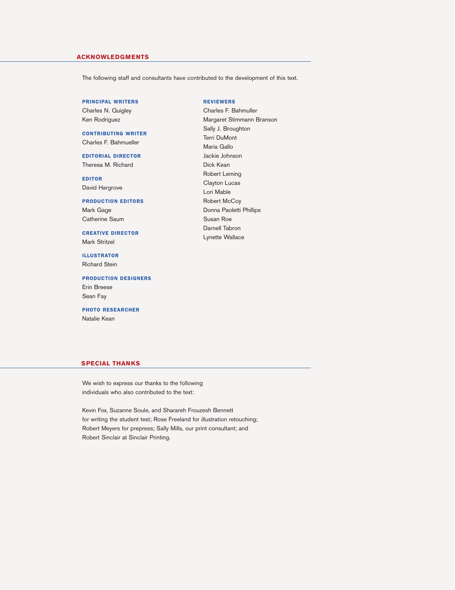### **ACKNOWLEDGMENTS**

The following staff and consultants have contributed to the development of this text.

PRINCIPAL WRITERS Charles N. Quigley Ken Rodriguez

CONTRIBUTING WRITER Charles F. Bahmueller

EDITORIAL DIRECTOR Theresa M. Richard

EDITOR David Hargrove

PRODUCTION EDITORS

Mark Gage Catherine Saum

CREATIVE DIRECTOR Mark Stritzel

ILLUSTRATOR Richard Stein

Sean Fay

PRODUCTION DESIGNERS Erin Breese

PHOTO RESEARCHER Natalie Kean

### REVIEWERS

Charles F. Bahmuller Margaret Stimmann Branson Sally J. Broughton Terri DuMont Maria Gallo Jackie Johnson Dick Kean Robert Leming Clayton Lucas Lori Mable Robert McCoy Donna Paoletti Phillips Susan Roe Darnell Tabron Lynette Wallace

### **SPECIAL THANKS**

We wish to express our thanks to the following individuals who also contributed to the text:

Kevin Fox, Suzanne Soule, and Sharareh Frouzesh Bennett for writing the student test; Rose Freeland for illustration retouching; Robert Meyers for prepress; Sally Mills, our print consultant; and Robert Sinclair at Sinclair Printing.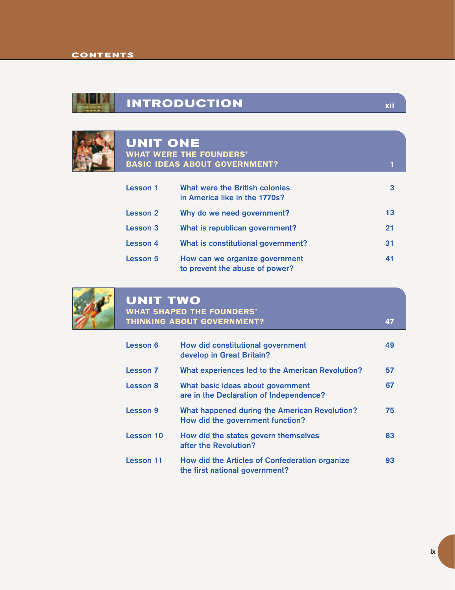

## **INTRODUCTION**



## **UNIT ONE**  WHAT WERE THE FOUNDERS'

|          | <b>BASIC IDEAS ABOUT GOVERNMENT?</b>                             |    |
|----------|------------------------------------------------------------------|----|
| Lesson 1 | What were the British colonies<br>in America like in the 1770s?  | 3  |
| Lesson 2 | Why do we need government?                                       | 13 |
| Lesson 3 | What is republican government?                                   | 21 |
| Lesson 4 | What is constitutional government?                               | 31 |
| Lesson 5 | How can we organize government<br>to prevent the abuse of power? | 41 |



## **UNIT TWO**

### WHAT SHAPED THE FOUNDERS' THINKING ABOUT GOVERNMENT?

| Lesson 6        | How did constitutional government<br>develop in Great Britain?                           | 49 |
|-----------------|------------------------------------------------------------------------------------------|----|
| <b>Lesson 7</b> | What experiences led to the American Revolution?                                         | 57 |
| <b>Lesson 8</b> | What basic ideas about government<br>are in the Declaration of Independence?             | 67 |
| Lesson 9        | <b>What happened during the American Revolution?</b><br>How did the government function? | 75 |
| Lesson 10       | How did the states govern themselves<br>after the Revolution?                            | 83 |
| Lesson 11       | How did the Articles of Confederation organize<br>the first national government?         | 93 |

**47**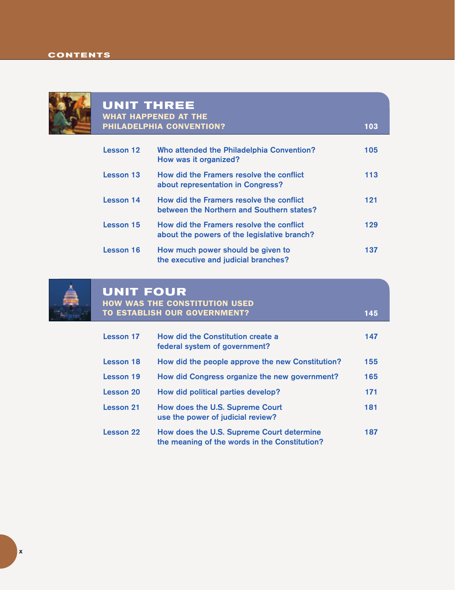

### **UNIT THREE** WHAT HAPPENED AT THE PHILADELPHIA CONVENTION?

| Lesson 12 | Who attended the Philadelphia Convention?<br>How was it organized?                      | 105 |
|-----------|-----------------------------------------------------------------------------------------|-----|
| Lesson 13 | How did the Framers resolve the conflict<br>about representation in Congress?           | 113 |
| Lesson 14 | How did the Framers resolve the conflict<br>between the Northern and Southern states?   | 121 |
| Lesson 15 | How did the Framers resolve the conflict<br>about the powers of the legislative branch? | 129 |
| Lesson 16 | How much power should be given to<br>the executive and judicial branches?               | 137 |

**103**

**145**



## **UNIT FOUR** HOW WAS THE CONSTITUTION USED TO ESTABLISH OUR GOVERNMENT?

| <b>Lesson 17</b> | <b>How did the Constitution create a</b><br>federal system of government?                  | 147 |
|------------------|--------------------------------------------------------------------------------------------|-----|
| Lesson 18        | How did the people approve the new Constitution?                                           | 155 |
| Lesson 19        | How did Congress organize the new government?                                              | 165 |
| Lesson 20        | How did political parties develop?                                                         | 171 |
| Lesson 21        | How does the U.S. Supreme Court<br>use the power of judicial review?                       | 181 |
| <b>Lesson 22</b> | How does the U.S. Supreme Court determine<br>the meaning of the words in the Constitution? | 187 |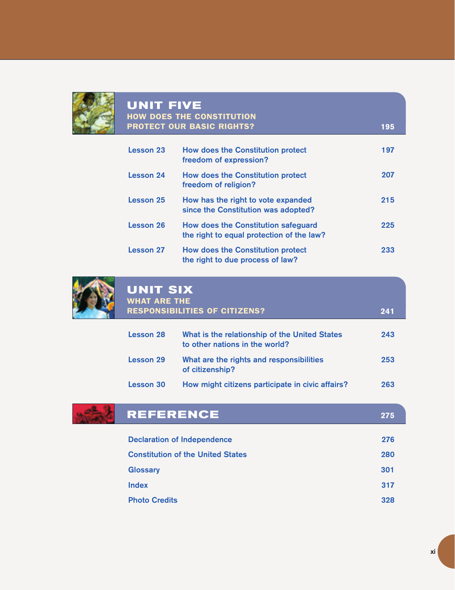

| <b>UNIT FIVE</b><br><b>HOW DOES THE CONSTITUTION</b> |                                                                                  |     |
|------------------------------------------------------|----------------------------------------------------------------------------------|-----|
|                                                      | <b>PROTECT OUR BASIC RIGHTS?</b>                                                 | 195 |
| <b>Lesson 23</b>                                     | <b>How does the Constitution protect</b><br>freedom of expression?               | 197 |
| <b>Lesson 24</b>                                     | <b>How does the Constitution protect</b><br>freedom of religion?                 | 207 |
| Lesson 25                                            | How has the right to vote expanded<br>since the Constitution was adopted?        | 215 |
| Lesson 26                                            | How does the Constitution safeguard<br>the right to equal protection of the law? | 225 |
| <b>Lesson 27</b>                                     | <b>How does the Constitution protect</b><br>the right to due process of law?     | 233 |



| <b>UNIT SIX</b><br><b>WHAT ARE THE</b><br><b>RESPONSIBILITIES OF CITIZENS?</b><br>241 |                                                                                 |     |
|---------------------------------------------------------------------------------------|---------------------------------------------------------------------------------|-----|
| Lesson 28                                                                             | What is the relationship of the United States<br>to other nations in the world? | 243 |
| Lesson 29                                                                             | What are the rights and responsibilities<br>of citizenship?                     | 253 |
| Lesson 30                                                                             | How might citizens participate in civic affairs?                                | 263 |



# **REFERENCE 275**

| <b>Declaration of Independence</b>       | 276 |
|------------------------------------------|-----|
| <b>Constitution of the United States</b> | 280 |
| <b>Glossary</b>                          | 301 |
| <b>Index</b>                             | 317 |
| <b>Photo Credits</b>                     | 328 |